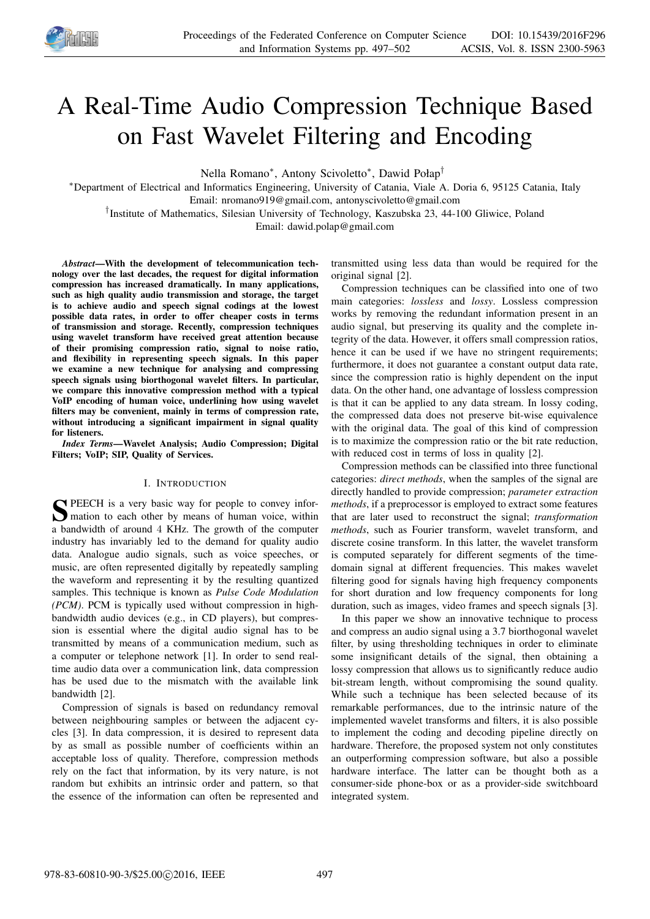

# A Real-Time Audio Compression Technique Based on Fast Wavelet Filtering and Encoding

Nella Romano<sup>\*</sup>, Antony Scivoletto<sup>\*</sup>, Dawid Połap<sup>†</sup>

<sup>∗</sup>Department of Electrical and Informatics Engineering, University of Catania, Viale A. Doria 6, 95125 Catania, Italy Email: nromano919@gmail.com, antonyscivoletto@gmail.com

† Institute of Mathematics, Silesian University of Technology, Kaszubska 23, 44-100 Gliwice, Poland

Email: dawid.polap@gmail.com

*Abstract*—With the development of telecommunication technology over the last decades, the request for digital information compression has increased dramatically. In many applications, such as high quality audio transmission and storage, the target is to achieve audio and speech signal codings at the lowest possible data rates, in order to offer cheaper costs in terms of transmission and storage. Recently, compression techniques using wavelet transform have received great attention because of their promising compression ratio, signal to noise ratio, and flexibility in representing speech signals. In this paper we examine a new technique for analysing and compressing speech signals using biorthogonal wavelet filters. In particular, we compare this innovative compression method with a typical VoIP encoding of human voice, underlining how using wavelet filters may be convenient, mainly in terms of compression rate, without introducing a significant impairment in signal quality for listeners.

*Index Terms*—Wavelet Analysis; Audio Compression; Digital Filters; VoIP; SIP, Quality of Services.

# I. INTRODUCTION

S PEECH is a very basic way for people to convey information to each other by means of human voice, within PEECH is a very basic way for people to convey infora bandwidth of around 4 KHz. The growth of the computer industry has invariably led to the demand for quality audio data. Analogue audio signals, such as voice speeches, or music, are often represented digitally by repeatedly sampling the waveform and representing it by the resulting quantized samples. This technique is known as *Pulse Code Modulation (PCM)*. PCM is typically used without compression in highbandwidth audio devices (e.g., in CD players), but compression is essential where the digital audio signal has to be transmitted by means of a communication medium, such as a computer or telephone network [1]. In order to send realtime audio data over a communication link, data compression has be used due to the mismatch with the available link bandwidth [2].

Compression of signals is based on redundancy removal between neighbouring samples or between the adjacent cycles [3]. In data compression, it is desired to represent data by as small as possible number of coefficients within an acceptable loss of quality. Therefore, compression methods rely on the fact that information, by its very nature, is not random but exhibits an intrinsic order and pattern, so that the essence of the information can often be represented and

transmitted using less data than would be required for the original signal [2].

Compression techniques can be classified into one of two main categories: *lossless* and *lossy*. Lossless compression works by removing the redundant information present in an audio signal, but preserving its quality and the complete integrity of the data. However, it offers small compression ratios, hence it can be used if we have no stringent requirements; furthermore, it does not guarantee a constant output data rate, since the compression ratio is highly dependent on the input data. On the other hand, one advantage of lossless compression is that it can be applied to any data stream. In lossy coding, the compressed data does not preserve bit-wise equivalence with the original data. The goal of this kind of compression is to maximize the compression ratio or the bit rate reduction, with reduced cost in terms of loss in quality [2].

Compression methods can be classified into three functional categories: *direct methods*, when the samples of the signal are directly handled to provide compression; *parameter extraction methods*, if a preprocessor is employed to extract some features that are later used to reconstruct the signal; *transformation methods*, such as Fourier transform, wavelet transform, and discrete cosine transform. In this latter, the wavelet transform is computed separately for different segments of the timedomain signal at different frequencies. This makes wavelet filtering good for signals having high frequency components for short duration and low frequency components for long duration, such as images, video frames and speech signals [3].

In this paper we show an innovative technique to process and compress an audio signal using a 3.7 biorthogonal wavelet filter, by using thresholding techniques in order to eliminate some insignificant details of the signal, then obtaining a lossy compression that allows us to significantly reduce audio bit-stream length, without compromising the sound quality. While such a technique has been selected because of its remarkable performances, due to the intrinsic nature of the implemented wavelet transforms and filters, it is also possible to implement the coding and decoding pipeline directly on hardware. Therefore, the proposed system not only constitutes an outperforming compression software, but also a possible hardware interface. The latter can be thought both as a consumer-side phone-box or as a provider-side switchboard integrated system.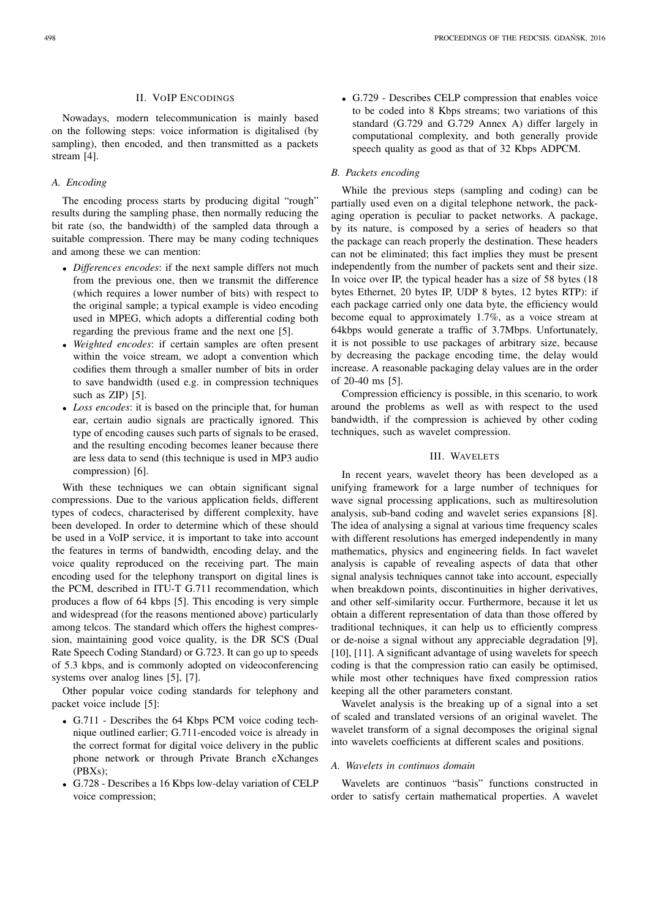# II. VOIP ENCODINGS

Nowadays, modern telecommunication is mainly based on the following steps: voice information is digitalised (by sampling), then encoded, and then transmitted as a packets stream [4].

# *A. Encoding*

The encoding process starts by producing digital "rough" results during the sampling phase, then normally reducing the bit rate (so, the bandwidth) of the sampled data through a suitable compression. There may be many coding techniques and among these we can mention:

- *Differences encodes*: if the next sample differs not much from the previous one, then we transmit the difference (which requires a lower number of bits) with respect to the original sample; a typical example is video encoding used in MPEG, which adopts a differential coding both regarding the previous frame and the next one [5].
- *Weighted encodes*: if certain samples are often present within the voice stream, we adopt a convention which codifies them through a smaller number of bits in order to save bandwidth (used e.g. in compression techniques such as ZIP) [5].
- *Loss encodes*: it is based on the principle that, for human ear, certain audio signals are practically ignored. This type of encoding causes such parts of signals to be erased, and the resulting encoding becomes leaner because there are less data to send (this technique is used in MP3 audio compression) [6].

With these techniques we can obtain significant signal compressions. Due to the various application fields, different types of codecs, characterised by different complexity, have been developed. In order to determine which of these should be used in a VoIP service, it is important to take into account the features in terms of bandwidth, encoding delay, and the voice quality reproduced on the receiving part. The main encoding used for the telephony transport on digital lines is the PCM, described in ITU-T G.711 recommendation, which produces a flow of 64 kbps [5]. This encoding is very simple and widespread (for the reasons mentioned above) particularly among telcos. The standard which offers the highest compression, maintaining good voice quality, is the DR SCS (Dual Rate Speech Coding Standard) or G.723. It can go up to speeds of 5.3 kbps, and is commonly adopted on videoconferencing systems over analog lines [5], [7].

Other popular voice coding standards for telephony and packet voice include [5]:

- G.711 Describes the 64 Kbps PCM voice coding technique outlined earlier; G.711-encoded voice is already in the correct format for digital voice delivery in the public phone network or through Private Branch eXchanges (PBXs);
- G.728 Describes a 16 Kbps low-delay variation of CELP voice compression;

• G.729 - Describes CELP compression that enables voice to be coded into 8 Kbps streams; two variations of this standard (G.729 and G.729 Annex A) differ largely in computational complexity, and both generally provide speech quality as good as that of 32 Kbps ADPCM.

# *B. Packets encoding*

While the previous steps (sampling and coding) can be partially used even on a digital telephone network, the packaging operation is peculiar to packet networks. A package, by its nature, is composed by a series of headers so that the package can reach properly the destination. These headers can not be eliminated; this fact implies they must be present independently from the number of packets sent and their size. In voice over IP, the typical header has a size of 58 bytes (18 bytes Ethernet, 20 bytes IP, UDP 8 bytes, 12 bytes RTP): if each package carried only one data byte, the efficiency would become equal to approximately 1.7%, as a voice stream at 64kbps would generate a traffic of 3.7Mbps. Unfortunately, it is not possible to use packages of arbitrary size, because by decreasing the package encoding time, the delay would increase. A reasonable packaging delay values are in the order of 20-40 ms [5].

Compression efficiency is possible, in this scenario, to work around the problems as well as with respect to the used bandwidth, if the compression is achieved by other coding techniques, such as wavelet compression.

# III. WAVELETS

In recent years, wavelet theory has been developed as a unifying framework for a large number of techniques for wave signal processing applications, such as multiresolution analysis, sub-band coding and wavelet series expansions [8]. The idea of analysing a signal at various time frequency scales with different resolutions has emerged independently in many mathematics, physics and engineering fields. In fact wavelet analysis is capable of revealing aspects of data that other signal analysis techniques cannot take into account, especially when breakdown points, discontinuities in higher derivatives, and other self-similarity occur. Furthermore, because it let us obtain a different representation of data than those offered by traditional techniques, it can help us to efficiently compress or de-noise a signal without any appreciable degradation [9], [10], [11]. A significant advantage of using wavelets for speech coding is that the compression ratio can easily be optimised, while most other techniques have fixed compression ratios keeping all the other parameters constant.

Wavelet analysis is the breaking up of a signal into a set of scaled and translated versions of an original wavelet. The wavelet transform of a signal decomposes the original signal into wavelets coefficients at different scales and positions.

#### *A. Wavelets in continuos domain*

Wavelets are continuos "basis" functions constructed in order to satisfy certain mathematical properties. A wavelet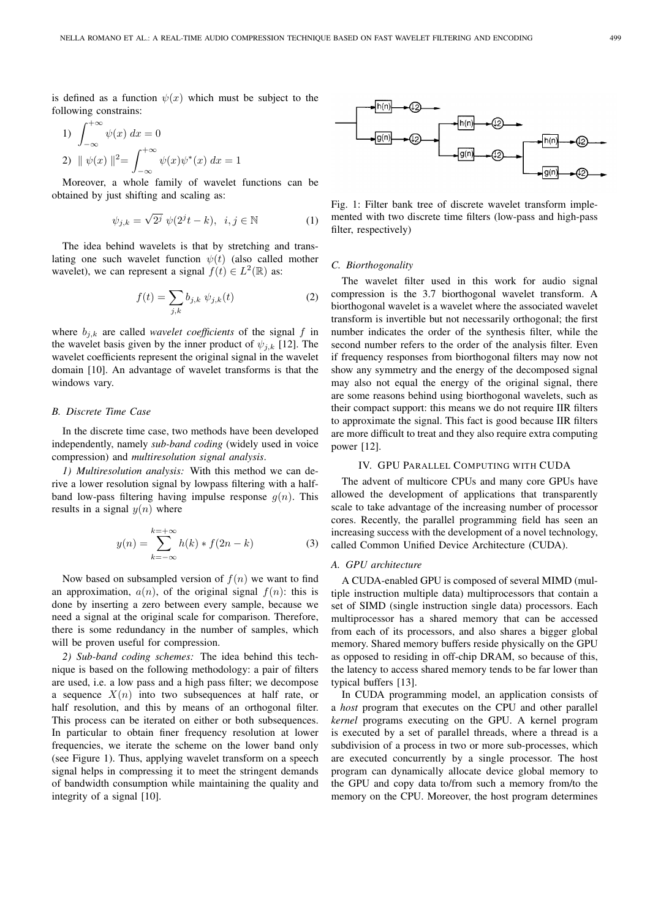is defined as a function  $\psi(x)$  which must be subject to the following constrains:

1) 
$$
\int_{-\infty}^{+\infty} \psi(x) dx = 0
$$
  
2) 
$$
\|\psi(x)\|^2 = \int_{-\infty}^{+\infty} \psi(x)\psi^*(x) dx = 1
$$

Moreover, a whole family of wavelet functions can be obtained by just shifting and scaling as:

$$
\psi_{j,k} = \sqrt{2^j} \ \psi(2^j t - k), \ \ i, j \in \mathbb{N} \tag{1}
$$

The idea behind wavelets is that by stretching and translating one such wavelet function  $\psi(t)$  (also called mother wavelet), we can represent a signal  $f(t) \in L^2(\mathbb{R})$  as:

$$
f(t) = \sum_{j,k} b_{j,k} \psi_{j,k}(t)
$$
 (2)

where  $b_{j,k}$  are called *wavelet coefficients* of the signal f in the wavelet basis given by the inner product of  $\psi_{i,k}$  [12]. The wavelet coefficients represent the original signal in the wavelet domain [10]. An advantage of wavelet transforms is that the windows vary.

# *B. Discrete Time Case*

In the discrete time case, two methods have been developed independently, namely *sub-band coding* (widely used in voice compression) and *multiresolution signal analysis*.

*1) Multiresolution analysis:* With this method we can derive a lower resolution signal by lowpass filtering with a halfband low-pass filtering having impulse response  $q(n)$ . This results in a signal  $y(n)$  where

$$
y(n) = \sum_{k=-\infty}^{k=+\infty} h(k) * f(2n - k)
$$
 (3)

Now based on subsampled version of  $f(n)$  we want to find an approximation,  $a(n)$ , of the original signal  $f(n)$ : this is done by inserting a zero between every sample, because we need a signal at the original scale for comparison. Therefore, there is some redundancy in the number of samples, which will be proven useful for compression.

*2) Sub-band coding schemes:* The idea behind this technique is based on the following methodology: a pair of filters are used, i.e. a low pass and a high pass filter; we decompose a sequence  $X(n)$  into two subsequences at half rate, or half resolution, and this by means of an orthogonal filter. This process can be iterated on either or both subsequences. In particular to obtain finer frequency resolution at lower frequencies, we iterate the scheme on the lower band only (see Figure 1). Thus, applying wavelet transform on a speech signal helps in compressing it to meet the stringent demands of bandwidth consumption while maintaining the quality and integrity of a signal [10].



Fig. 1: Filter bank tree of discrete wavelet transform implemented with two discrete time filters (low-pass and high-pass filter, respectively)

# *C. Biorthogonality*

The wavelet filter used in this work for audio signal compression is the 3.7 biorthogonal wavelet transform. A biorthogonal wavelet is a wavelet where the associated wavelet transform is invertible but not necessarily orthogonal; the first number indicates the order of the synthesis filter, while the second number refers to the order of the analysis filter. Even if frequency responses from biorthogonal filters may now not show any symmetry and the energy of the decomposed signal may also not equal the energy of the original signal, there are some reasons behind using biorthogonal wavelets, such as their compact support: this means we do not require IIR filters to approximate the signal. This fact is good because IIR filters are more difficult to treat and they also require extra computing power [12].

# IV. GPU PARALLEL COMPUTING WITH CUDA

The advent of multicore CPUs and many core GPUs have allowed the development of applications that transparently scale to take advantage of the increasing number of processor cores. Recently, the parallel programming field has seen an increasing success with the development of a novel technology, called Common Unified Device Architecture (CUDA).

#### *A. GPU architecture*

A CUDA-enabled GPU is composed of several MIMD (multiple instruction multiple data) multiprocessors that contain a set of SIMD (single instruction single data) processors. Each multiprocessor has a shared memory that can be accessed from each of its processors, and also shares a bigger global memory. Shared memory buffers reside physically on the GPU as opposed to residing in off-chip DRAM, so because of this, the latency to access shared memory tends to be far lower than typical buffers [13].

In CUDA programming model, an application consists of a *host* program that executes on the CPU and other parallel *kernel* programs executing on the GPU. A kernel program is executed by a set of parallel threads, where a thread is a subdivision of a process in two or more sub-processes, which are executed concurrently by a single processor. The host program can dynamically allocate device global memory to the GPU and copy data to/from such a memory from/to the memory on the CPU. Moreover, the host program determines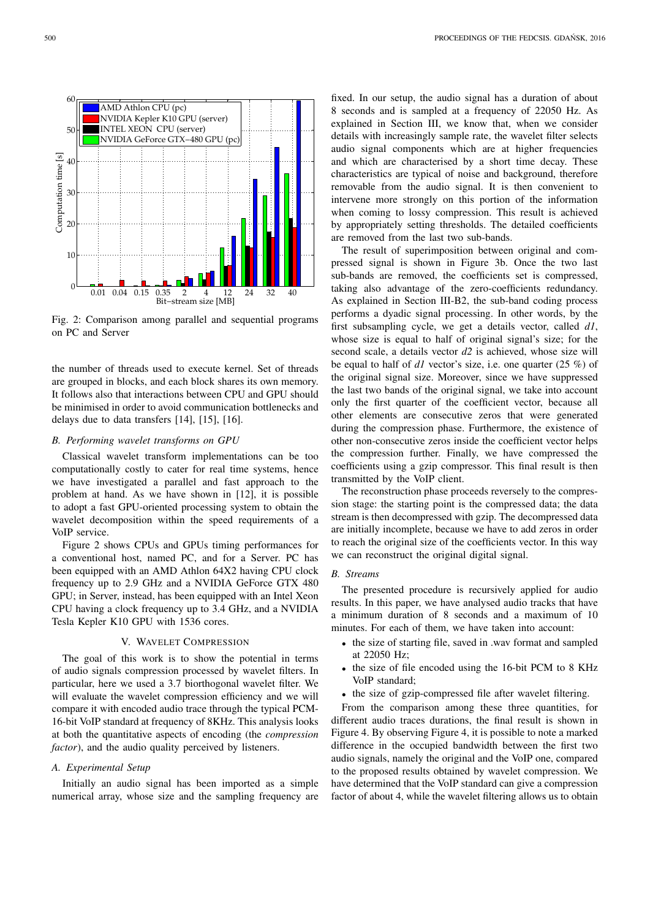Fig. 2: Comparison among parallel and sequential programs on PC and Server

the number of threads used to execute kernel. Set of threads are grouped in blocks, and each block shares its own memory. It follows also that interactions between CPU and GPU should be minimised in order to avoid communication bottlenecks and delays due to data transfers [14], [15], [16].

#### *B. Performing wavelet transforms on GPU*

Classical wavelet transform implementations can be too computationally costly to cater for real time systems, hence we have investigated a parallel and fast approach to the problem at hand. As we have shown in [12], it is possible to adopt a fast GPU-oriented processing system to obtain the wavelet decomposition within the speed requirements of a VoIP service.

Figure 2 shows CPUs and GPUs timing performances for a conventional host, named PC, and for a Server. PC has been equipped with an AMD Athlon 64X2 having CPU clock frequency up to 2.9 GHz and a NVIDIA GeForce GTX 480 GPU; in Server, instead, has been equipped with an Intel Xeon CPU having a clock frequency up to 3.4 GHz, and a NVIDIA Tesla Kepler K10 GPU with 1536 cores.

# V. WAVELET COMPRESSION

The goal of this work is to show the potential in terms of audio signals compression processed by wavelet filters. In particular, here we used a 3.7 biorthogonal wavelet filter. We will evaluate the wavelet compression efficiency and we will compare it with encoded audio trace through the typical PCM-16-bit VoIP standard at frequency of 8KHz. This analysis looks at both the quantitative aspects of encoding (the *compression factor*), and the audio quality perceived by listeners.

# *A. Experimental Setup*

Initially an audio signal has been imported as a simple numerical array, whose size and the sampling frequency are

fixed. In our setup, the audio signal has a duration of about 8 seconds and is sampled at a frequency of 22050 Hz. As explained in Section III, we know that, when we consider details with increasingly sample rate, the wavelet filter selects audio signal components which are at higher frequencies and which are characterised by a short time decay. These characteristics are typical of noise and background, therefore removable from the audio signal. It is then convenient to intervene more strongly on this portion of the information when coming to lossy compression. This result is achieved by appropriately setting thresholds. The detailed coefficients are removed from the last two sub-bands.

The result of superimposition between original and compressed signal is shown in Figure 3b. Once the two last sub-bands are removed, the coefficients set is compressed, taking also advantage of the zero-coefficients redundancy. As explained in Section III-B2, the sub-band coding process performs a dyadic signal processing. In other words, by the first subsampling cycle, we get a details vector, called *d1*, whose size is equal to half of original signal's size; for the second scale, a details vector *d2* is achieved, whose size will be equal to half of *d1* vector's size, i.e. one quarter (25 %) of the original signal size. Moreover, since we have suppressed the last two bands of the original signal, we take into account only the first quarter of the coefficient vector, because all other elements are consecutive zeros that were generated during the compression phase. Furthermore, the existence of other non-consecutive zeros inside the coefficient vector helps the compression further. Finally, we have compressed the coefficients using a gzip compressor. This final result is then transmitted by the VoIP client.

The reconstruction phase proceeds reversely to the compression stage: the starting point is the compressed data; the data stream is then decompressed with gzip. The decompressed data are initially incomplete, because we have to add zeros in order to reach the original size of the coefficients vector. In this way we can reconstruct the original digital signal.

## *B. Streams*

The presented procedure is recursively applied for audio results. In this paper, we have analysed audio tracks that have a minimum duration of 8 seconds and a maximum of 10 minutes. For each of them, we have taken into account:

- the size of starting file, saved in .wav format and sampled at 22050 Hz;
- the size of file encoded using the 16-bit PCM to 8 KHz VoIP standard;
- the size of gzip-compressed file after wavelet filtering.

From the comparison among these three quantities, for different audio traces durations, the final result is shown in Figure 4. By observing Figure 4, it is possible to note a marked difference in the occupied bandwidth between the first two audio signals, namely the original and the VoIP one, compared to the proposed results obtained by wavelet compression. We have determined that the VoIP standard can give a compression factor of about 4, while the wavelet filtering allows us to obtain

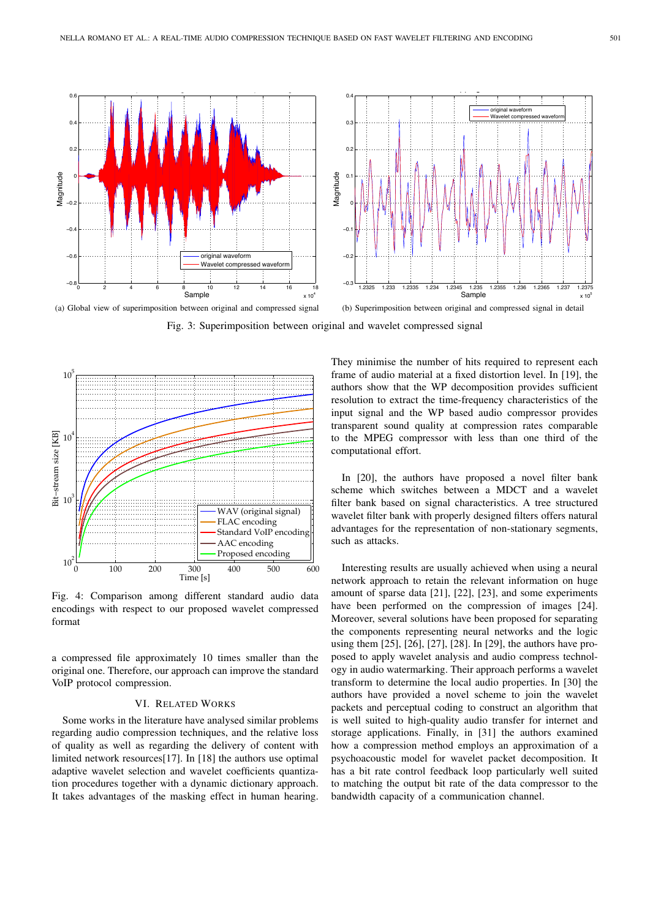

Fig. 3: Superimposition between original and wavelet compressed signal



Fig. 4: Comparison among different standard audio data encodings with respect to our proposed wavelet compressed format

a compressed file approximately 10 times smaller than the original one. Therefore, our approach can improve the standard VoIP protocol compression.

# VI. RELATED WORKS

Some works in the literature have analysed similar problems regarding audio compression techniques, and the relative loss of quality as well as regarding the delivery of content with limited network resources[17]. In [18] the authors use optimal adaptive wavelet selection and wavelet coefficients quantization procedures together with a dynamic dictionary approach. It takes advantages of the masking effect in human hearing.

They minimise the number of hits required to represent each frame of audio material at a fixed distortion level. In [19], the authors show that the WP decomposition provides sufficient resolution to extract the time-frequency characteristics of the input signal and the WP based audio compressor provides transparent sound quality at compression rates comparable to the MPEG compressor with less than one third of the computational effort.

In [20], the authors have proposed a novel filter bank scheme which switches between a MDCT and a wavelet filter bank based on signal characteristics. A tree structured wavelet filter bank with properly designed filters offers natural advantages for the representation of non-stationary segments, such as attacks.

Interesting results are usually achieved when using a neural network approach to retain the relevant information on huge amount of sparse data [21], [22], [23], and some experiments have been performed on the compression of images [24]. Moreover, several solutions have been proposed for separating the components representing neural networks and the logic using them [25], [26], [27], [28]. In [29], the authors have proposed to apply wavelet analysis and audio compress technology in audio watermarking. Their approach performs a wavelet transform to determine the local audio properties. In [30] the authors have provided a novel scheme to join the wavelet packets and perceptual coding to construct an algorithm that is well suited to high-quality audio transfer for internet and storage applications. Finally, in [31] the authors examined how a compression method employs an approximation of a psychoacoustic model for wavelet packet decomposition. It has a bit rate control feedback loop particularly well suited to matching the output bit rate of the data compressor to the bandwidth capacity of a communication channel.